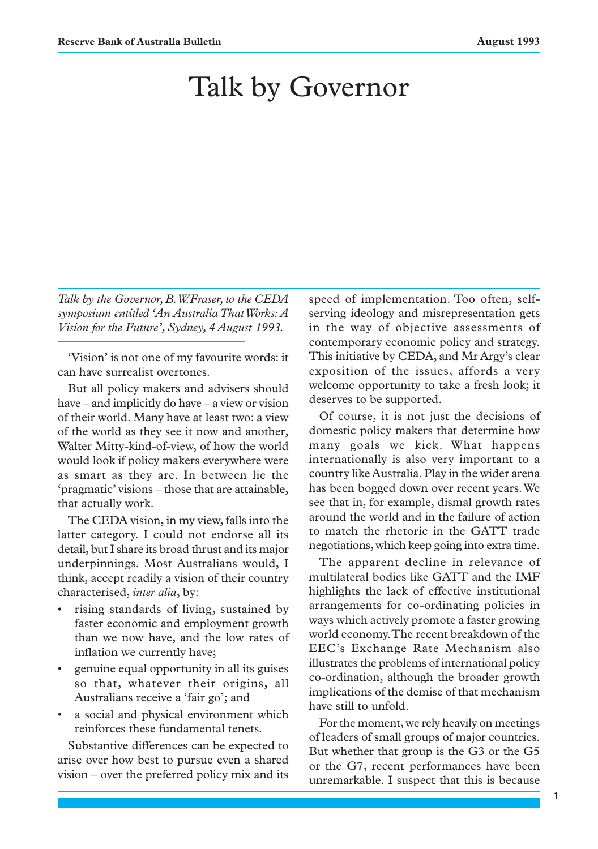# Talk by Governor

*Talk by the Governor, B.W.Fraser, to the CEDA symposium entitled 'An Australia That Works: A Vision for the Future', Sydney, 4 August 1993.*

'Vision' is not one of my favourite words: it can have surrealist overtones.

But all policy makers and advisers should have – and implicitly do have – a view or vision of their world. Many have at least two: a view of the world as they see it now and another, Walter Mitty-kind-of-view, of how the world would look if policy makers everywhere were as smart as they are. In between lie the 'pragmatic' visions – those that are attainable, that actually work.

The CEDA vision, in my view, falls into the latter category. I could not endorse all its detail, but I share its broad thrust and its major underpinnings. Most Australians would, I think, accept readily a vision of their country characterised, *inter alia*, by:

- rising standards of living, sustained by faster economic and employment growth than we now have, and the low rates of inflation we currently have;
- genuine equal opportunity in all its guises so that, whatever their origins, all Australians receive a 'fair go'; and
- a social and physical environment which reinforces these fundamental tenets.

Substantive differences can be expected to arise over how best to pursue even a shared vision – over the preferred policy mix and its

speed of implementation. Too often, selfserving ideology and misrepresentation gets in the way of objective assessments of contemporary economic policy and strategy. This initiative by CEDA, and Mr Argy's clear exposition of the issues, affords a very welcome opportunity to take a fresh look; it deserves to be supported.

Of course, it is not just the decisions of domestic policy makers that determine how many goals we kick. What happens internationally is also very important to a country like Australia. Play in the wider arena has been bogged down over recent years. We see that in, for example, dismal growth rates around the world and in the failure of action to match the rhetoric in the GATT trade negotiations, which keep going into extra time.

The apparent decline in relevance of multilateral bodies like GATT and the IMF highlights the lack of effective institutional arrangements for co-ordinating policies in ways which actively promote a faster growing world economy. The recent breakdown of the EEC's Exchange Rate Mechanism also illustrates the problems of international policy co-ordination, although the broader growth implications of the demise of that mechanism have still to unfold.

For the moment, we rely heavily on meetings of leaders of small groups of major countries. But whether that group is the G3 or the G5 or the G7, recent performances have been unremarkable. I suspect that this is because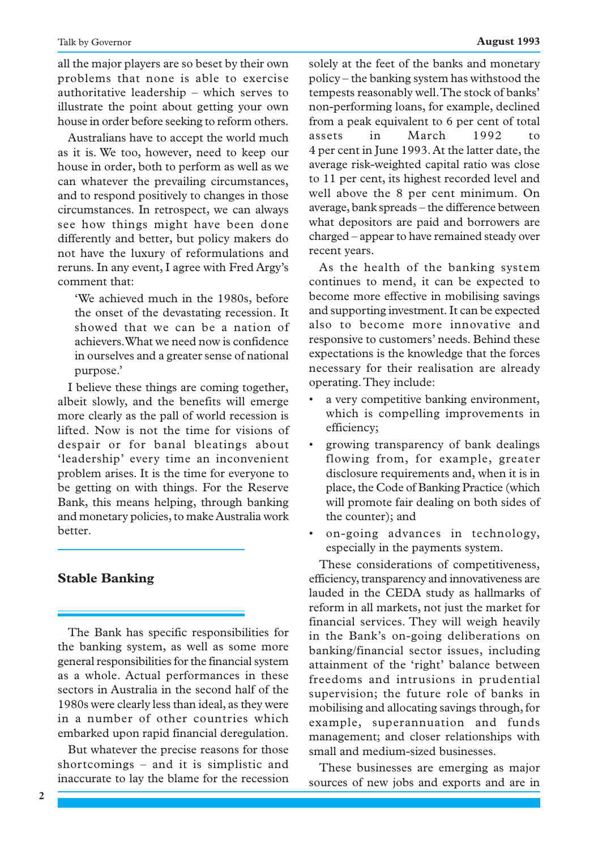all the major players are so beset by their own problems that none is able to exercise authoritative leadership – which serves to illustrate the point about getting your own house in order before seeking to reform others.

Australians have to accept the world much as it is. We too, however, need to keep our house in order, both to perform as well as we can whatever the prevailing circumstances, and to respond positively to changes in those circumstances. In retrospect, we can always see how things might have been done differently and better, but policy makers do not have the luxury of reformulations and reruns. In any event, I agree with Fred Argy's comment that:

'We achieved much in the 1980s, before the onset of the devastating recession. It showed that we can be a nation of achievers. What we need now is confidence in ourselves and a greater sense of national purpose.'

I believe these things are coming together, albeit slowly, and the benefits will emerge more clearly as the pall of world recession is lifted. Now is not the time for visions of despair or for banal bleatings about 'leadership' every time an inconvenient problem arises. It is the time for everyone to be getting on with things. For the Reserve Bank, this means helping, through banking and monetary policies, to make Australia work better.

### **Stable Banking**

The Bank has specific responsibilities for the banking system, as well as some more general responsibilities for the financial system as a whole. Actual performances in these sectors in Australia in the second half of the 1980s were clearly less than ideal, as they were in a number of other countries which embarked upon rapid financial deregulation.

But whatever the precise reasons for those shortcomings – and it is simplistic and inaccurate to lay the blame for the recession

**2**

solely at the feet of the banks and monetary policy – the banking system has withstood the tempests reasonably well. The stock of banks' non-performing loans, for example, declined from a peak equivalent to 6 per cent of total assets in March 1992 to 4 per cent in June 1993. At the latter date, the average risk-weighted capital ratio was close to 11 per cent, its highest recorded level and well above the 8 per cent minimum. On average, bank spreads – the difference between what depositors are paid and borrowers are charged – appear to have remained steady over recent years.

As the health of the banking system continues to mend, it can be expected to become more effective in mobilising savings and supporting investment. It can be expected also to become more innovative and responsive to customers' needs. Behind these expectations is the knowledge that the forces necessary for their realisation are already operating. They include:

- a very competitive banking environment, which is compelling improvements in efficiency;
- growing transparency of bank dealings flowing from, for example, greater disclosure requirements and, when it is in place, the Code of Banking Practice (which will promote fair dealing on both sides of the counter); and
- on-going advances in technology, especially in the payments system.

These considerations of competitiveness, efficiency, transparency and innovativeness are lauded in the CEDA study as hallmarks of reform in all markets, not just the market for financial services. They will weigh heavily in the Bank's on-going deliberations on banking/financial sector issues, including attainment of the 'right' balance between freedoms and intrusions in prudential supervision; the future role of banks in mobilising and allocating savings through, for example, superannuation and funds management; and closer relationships with small and medium-sized businesses.

These businesses are emerging as major sources of new jobs and exports and are in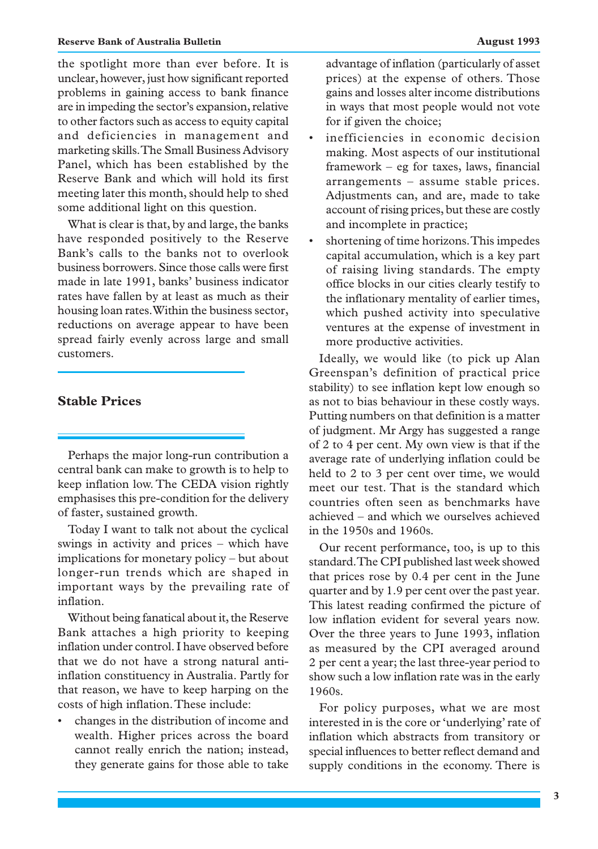the spotlight more than ever before. It is unclear, however, just how significant reported problems in gaining access to bank finance are in impeding the sector's expansion, relative to other factors such as access to equity capital and deficiencies in management and marketing skills. The Small Business Advisory Panel, which has been established by the Reserve Bank and which will hold its first meeting later this month, should help to shed some additional light on this question.

What is clear is that, by and large, the banks have responded positively to the Reserve Bank's calls to the banks not to overlook business borrowers. Since those calls were first made in late 1991, banks' business indicator rates have fallen by at least as much as their housing loan rates. Within the business sector, reductions on average appear to have been spread fairly evenly across large and small customers.

#### **Stable Prices**

Perhaps the major long-run contribution a central bank can make to growth is to help to keep inflation low. The CEDA vision rightly emphasises this pre-condition for the delivery of faster, sustained growth.

Today I want to talk not about the cyclical swings in activity and prices – which have implications for monetary policy – but about longer-run trends which are shaped in important ways by the prevailing rate of inflation.

Without being fanatical about it, the Reserve Bank attaches a high priority to keeping inflation under control. I have observed before that we do not have a strong natural antiinflation constituency in Australia. Partly for that reason, we have to keep harping on the costs of high inflation. These include:

• changes in the distribution of income and wealth. Higher prices across the board cannot really enrich the nation; instead, they generate gains for those able to take

advantage of inflation (particularly of asset prices) at the expense of others. Those gains and losses alter income distributions in ways that most people would not vote for if given the choice;

- inefficiencies in economic decision making. Most aspects of our institutional framework – eg for taxes, laws, financial arrangements – assume stable prices. Adjustments can, and are, made to take account of rising prices, but these are costly and incomplete in practice;
- shortening of time horizons. This impedes capital accumulation, which is a key part of raising living standards. The empty office blocks in our cities clearly testify to the inflationary mentality of earlier times, which pushed activity into speculative ventures at the expense of investment in more productive activities.

Ideally, we would like (to pick up Alan Greenspan's definition of practical price stability) to see inflation kept low enough so as not to bias behaviour in these costly ways. Putting numbers on that definition is a matter of judgment. Mr Argy has suggested a range of 2 to 4 per cent. My own view is that if the average rate of underlying inflation could be held to 2 to 3 per cent over time, we would meet our test. That is the standard which countries often seen as benchmarks have achieved – and which we ourselves achieved in the 1950s and 1960s.

Our recent performance, too, is up to this standard. The CPI published last week showed that prices rose by 0.4 per cent in the June quarter and by 1.9 per cent over the past year. This latest reading confirmed the picture of low inflation evident for several years now. Over the three years to June 1993, inflation as measured by the CPI averaged around 2 per cent a year; the last three-year period to show such a low inflation rate was in the early 1960s.

For policy purposes, what we are most interested in is the core or 'underlying' rate of inflation which abstracts from transitory or special influences to better reflect demand and supply conditions in the economy. There is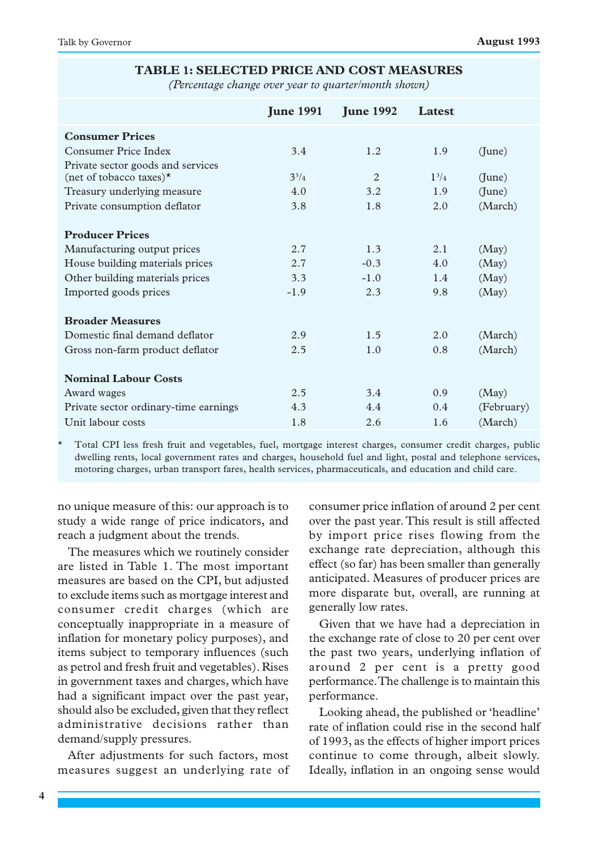#### **TABLE 1: SELECTED PRICE AND COST MEASURES**

*(Percentage change over year to quarter/month shown)*

|                                       | <b>June 1991</b> | <b>June 1992</b> | Latest    |            |
|---------------------------------------|------------------|------------------|-----------|------------|
| <b>Consumer Prices</b>                |                  |                  |           |            |
| Consumer Price Index                  | 3.4              | 1.2              | 1.9       | (June)     |
| Private sector goods and services     |                  |                  |           |            |
| (net of tobacco taxes) $\star$        | $3^{3}/4$        | 2                | $1^{3}/4$ | (June)     |
| Treasury underlying measure           | 4.0              | 3.2              | 1.9       | (June)     |
| Private consumption deflator          | 3.8              | 1.8              | 2.0       | (March)    |
| <b>Producer Prices</b>                |                  |                  |           |            |
| Manufacturing output prices           | 2.7              | 1.3              | 2.1       | (May)      |
| House building materials prices       | 2.7              | $-0.3$           | 4.0       | (May)      |
| Other building materials prices       | 3.3              | $-1.0$           | 1.4       | (May)      |
| Imported goods prices                 | $-1.9$           | 2.3              | 9.8       | (May)      |
| <b>Broader Measures</b>               |                  |                  |           |            |
| Domestic final demand deflator        | 2.9              | 1.5              | 2.0       | (March)    |
| Gross non-farm product deflator       | 2.5              | 1.0              | 0.8       | (March)    |
| <b>Nominal Labour Costs</b>           |                  |                  |           |            |
| Award wages                           | 2.5              | 3.4              | 0.9       | (May)      |
| Private sector ordinary-time earnings | 4.3              | 4.4              | 0.4       | (February) |
| Unit labour costs                     | 1.8              | 2.6              | 1.6       | (March)    |

\* Total CPI less fresh fruit and vegetables, fuel, mortgage interest charges, consumer credit charges, public dwelling rents, local government rates and charges, household fuel and light, postal and telephone services, motoring charges, urban transport fares, health services, pharmaceuticals, and education and child care.

no unique measure of this: our approach is to study a wide range of price indicators, and reach a judgment about the trends.

The measures which we routinely consider are listed in Table 1. The most important measures are based on the CPI, but adjusted to exclude items such as mortgage interest and consumer credit charges (which are conceptually inappropriate in a measure of inflation for monetary policy purposes), and items subject to temporary influences (such as petrol and fresh fruit and vegetables). Rises in government taxes and charges, which have had a significant impact over the past year, should also be excluded, given that they reflect administrative decisions rather than demand/supply pressures.

After adjustments for such factors, most measures suggest an underlying rate of consumer price inflation of around 2 per cent over the past year. This result is still affected by import price rises flowing from the exchange rate depreciation, although this effect (so far) has been smaller than generally anticipated. Measures of producer prices are more disparate but, overall, are running at generally low rates.

Given that we have had a depreciation in the exchange rate of close to 20 per cent over the past two years, underlying inflation of around 2 per cent is a pretty good performance. The challenge is to maintain this performance.

Looking ahead, the published or 'headline' rate of inflation could rise in the second half of 1993, as the effects of higher import prices continue to come through, albeit slowly. Ideally, inflation in an ongoing sense would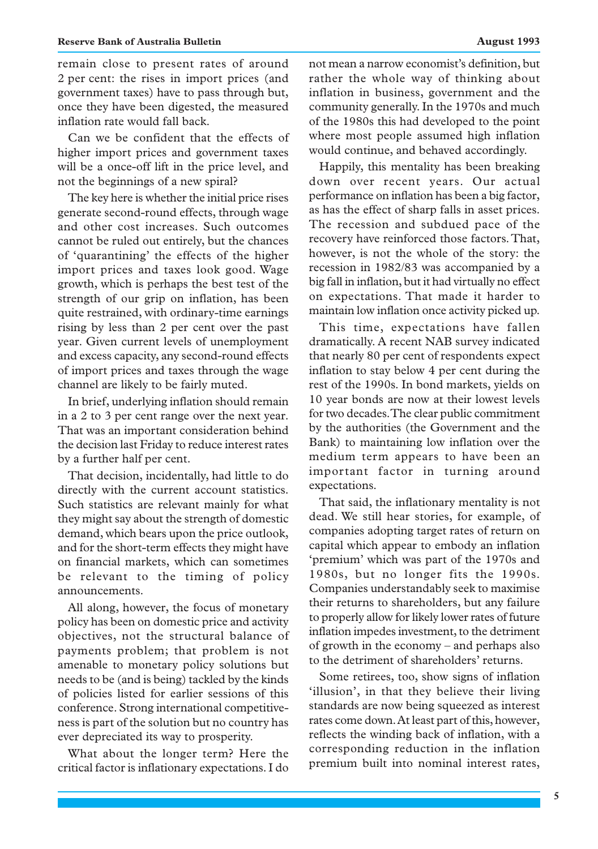remain close to present rates of around 2 per cent: the rises in import prices (and government taxes) have to pass through but, once they have been digested, the measured inflation rate would fall back.

Can we be confident that the effects of higher import prices and government taxes will be a once-off lift in the price level, and not the beginnings of a new spiral?

The key here is whether the initial price rises generate second-round effects, through wage and other cost increases. Such outcomes cannot be ruled out entirely, but the chances of 'quarantining' the effects of the higher import prices and taxes look good. Wage growth, which is perhaps the best test of the strength of our grip on inflation, has been quite restrained, with ordinary-time earnings rising by less than 2 per cent over the past year. Given current levels of unemployment and excess capacity, any second-round effects of import prices and taxes through the wage channel are likely to be fairly muted.

In brief, underlying inflation should remain in a 2 to 3 per cent range over the next year. That was an important consideration behind the decision last Friday to reduce interest rates by a further half per cent.

That decision, incidentally, had little to do directly with the current account statistics. Such statistics are relevant mainly for what they might say about the strength of domestic demand, which bears upon the price outlook, and for the short-term effects they might have on financial markets, which can sometimes be relevant to the timing of policy announcements.

All along, however, the focus of monetary policy has been on domestic price and activity objectives, not the structural balance of payments problem; that problem is not amenable to monetary policy solutions but needs to be (and is being) tackled by the kinds of policies listed for earlier sessions of this conference. Strong international competitiveness is part of the solution but no country has ever depreciated its way to prosperity.

What about the longer term? Here the critical factor is inflationary expectations. I do not mean a narrow economist's definition, but rather the whole way of thinking about inflation in business, government and the community generally. In the 1970s and much of the 1980s this had developed to the point where most people assumed high inflation would continue, and behaved accordingly.

Happily, this mentality has been breaking down over recent years. Our actual performance on inflation has been a big factor, as has the effect of sharp falls in asset prices. The recession and subdued pace of the recovery have reinforced those factors. That, however, is not the whole of the story: the recession in 1982/83 was accompanied by a big fall in inflation, but it had virtually no effect on expectations. That made it harder to maintain low inflation once activity picked up.

This time, expectations have fallen dramatically. A recent NAB survey indicated that nearly 80 per cent of respondents expect inflation to stay below 4 per cent during the rest of the 1990s. In bond markets, yields on 10 year bonds are now at their lowest levels for two decades. The clear public commitment by the authorities (the Government and the Bank) to maintaining low inflation over the medium term appears to have been an important factor in turning around expectations.

That said, the inflationary mentality is not dead. We still hear stories, for example, of companies adopting target rates of return on capital which appear to embody an inflation 'premium' which was part of the 1970s and 1980s, but no longer fits the 1990s. Companies understandably seek to maximise their returns to shareholders, but any failure to properly allow for likely lower rates of future inflation impedes investment, to the detriment of growth in the economy – and perhaps also to the detriment of shareholders' returns.

Some retirees, too, show signs of inflation 'illusion', in that they believe their living standards are now being squeezed as interest rates come down. At least part of this, however, reflects the winding back of inflation, with a corresponding reduction in the inflation premium built into nominal interest rates,